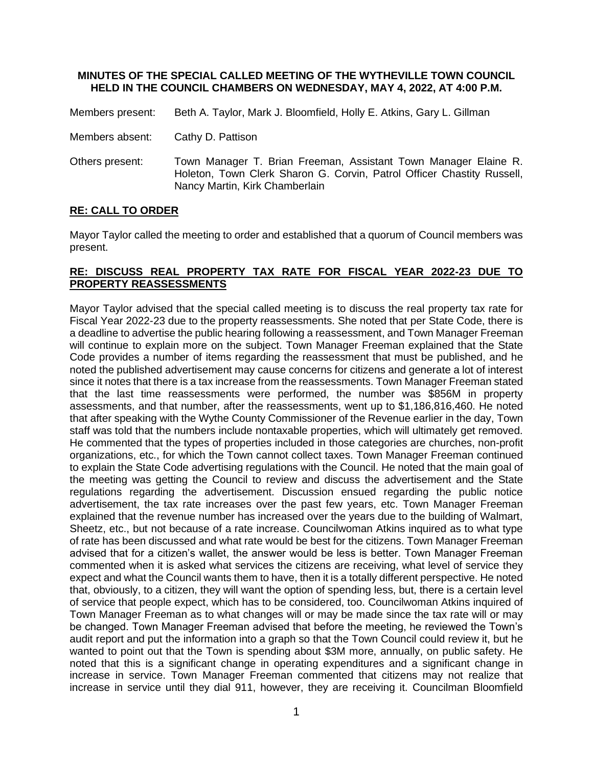## **MINUTES OF THE SPECIAL CALLED MEETING OF THE WYTHEVILLE TOWN COUNCIL HELD IN THE COUNCIL CHAMBERS ON WEDNESDAY, MAY 4, 2022, AT 4:00 P.M.**

Members present: Beth A. Taylor, Mark J. Bloomfield, Holly E. Atkins, Gary L. Gillman

- Members absent: Cathy D. Pattison
- Others present: Town Manager T. Brian Freeman, Assistant Town Manager Elaine R. Holeton, Town Clerk Sharon G. Corvin, Patrol Officer Chastity Russell, Nancy Martin, Kirk Chamberlain

## **RE: CALL TO ORDER**

Mayor Taylor called the meeting to order and established that a quorum of Council members was present.

## **RE: DISCUSS REAL PROPERTY TAX RATE FOR FISCAL YEAR 2022-23 DUE TO PROPERTY REASSESSMENTS**

Mayor Taylor advised that the special called meeting is to discuss the real property tax rate for Fiscal Year 2022-23 due to the property reassessments. She noted that per State Code, there is a deadline to advertise the public hearing following a reassessment, and Town Manager Freeman will continue to explain more on the subject. Town Manager Freeman explained that the State Code provides a number of items regarding the reassessment that must be published, and he noted the published advertisement may cause concerns for citizens and generate a lot of interest since it notes that there is a tax increase from the reassessments. Town Manager Freeman stated that the last time reassessments were performed, the number was \$856M in property assessments, and that number, after the reassessments, went up to \$1,186,816,460. He noted that after speaking with the Wythe County Commissioner of the Revenue earlier in the day, Town staff was told that the numbers include nontaxable properties, which will ultimately get removed. He commented that the types of properties included in those categories are churches, non-profit organizations, etc., for which the Town cannot collect taxes. Town Manager Freeman continued to explain the State Code advertising regulations with the Council. He noted that the main goal of the meeting was getting the Council to review and discuss the advertisement and the State regulations regarding the advertisement. Discussion ensued regarding the public notice advertisement, the tax rate increases over the past few years, etc. Town Manager Freeman explained that the revenue number has increased over the years due to the building of Walmart, Sheetz, etc., but not because of a rate increase. Councilwoman Atkins inquired as to what type of rate has been discussed and what rate would be best for the citizens. Town Manager Freeman advised that for a citizen's wallet, the answer would be less is better. Town Manager Freeman commented when it is asked what services the citizens are receiving, what level of service they expect and what the Council wants them to have, then it is a totally different perspective. He noted that, obviously, to a citizen, they will want the option of spending less, but, there is a certain level of service that people expect, which has to be considered, too. Councilwoman Atkins inquired of Town Manager Freeman as to what changes will or may be made since the tax rate will or may be changed. Town Manager Freeman advised that before the meeting, he reviewed the Town's audit report and put the information into a graph so that the Town Council could review it, but he wanted to point out that the Town is spending about \$3M more, annually, on public safety. He noted that this is a significant change in operating expenditures and a significant change in increase in service. Town Manager Freeman commented that citizens may not realize that increase in service until they dial 911, however, they are receiving it. Councilman Bloomfield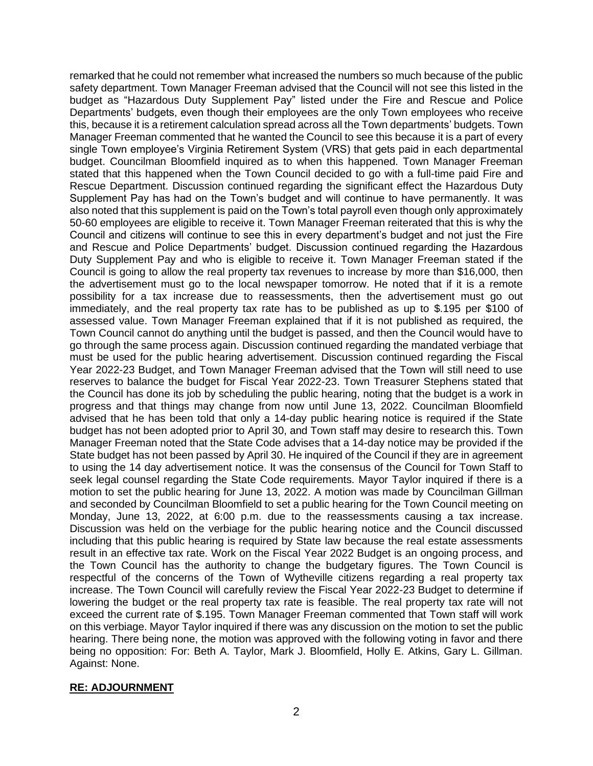remarked that he could not remember what increased the numbers so much because of the public safety department. Town Manager Freeman advised that the Council will not see this listed in the budget as "Hazardous Duty Supplement Pay" listed under the Fire and Rescue and Police Departments' budgets, even though their employees are the only Town employees who receive this, because it is a retirement calculation spread across all the Town departments' budgets. Town Manager Freeman commented that he wanted the Council to see this because it is a part of every single Town employee's Virginia Retirement System (VRS) that gets paid in each departmental budget. Councilman Bloomfield inquired as to when this happened. Town Manager Freeman stated that this happened when the Town Council decided to go with a full-time paid Fire and Rescue Department. Discussion continued regarding the significant effect the Hazardous Duty Supplement Pay has had on the Town's budget and will continue to have permanently. It was also noted that this supplement is paid on the Town's total payroll even though only approximately 50-60 employees are eligible to receive it. Town Manager Freeman reiterated that this is why the Council and citizens will continue to see this in every department's budget and not just the Fire and Rescue and Police Departments' budget. Discussion continued regarding the Hazardous Duty Supplement Pay and who is eligible to receive it. Town Manager Freeman stated if the Council is going to allow the real property tax revenues to increase by more than \$16,000, then the advertisement must go to the local newspaper tomorrow. He noted that if it is a remote possibility for a tax increase due to reassessments, then the advertisement must go out immediately, and the real property tax rate has to be published as up to \$.195 per \$100 of assessed value. Town Manager Freeman explained that if it is not published as required, the Town Council cannot do anything until the budget is passed, and then the Council would have to go through the same process again. Discussion continued regarding the mandated verbiage that must be used for the public hearing advertisement. Discussion continued regarding the Fiscal Year 2022-23 Budget, and Town Manager Freeman advised that the Town will still need to use reserves to balance the budget for Fiscal Year 2022-23. Town Treasurer Stephens stated that the Council has done its job by scheduling the public hearing, noting that the budget is a work in progress and that things may change from now until June 13, 2022. Councilman Bloomfield advised that he has been told that only a 14-day public hearing notice is required if the State budget has not been adopted prior to April 30, and Town staff may desire to research this. Town Manager Freeman noted that the State Code advises that a 14-day notice may be provided if the State budget has not been passed by April 30. He inquired of the Council if they are in agreement to using the 14 day advertisement notice. It was the consensus of the Council for Town Staff to seek legal counsel regarding the State Code requirements. Mayor Taylor inquired if there is a motion to set the public hearing for June 13, 2022. A motion was made by Councilman Gillman and seconded by Councilman Bloomfield to set a public hearing for the Town Council meeting on Monday, June 13, 2022, at 6:00 p.m. due to the reassessments causing a tax increase. Discussion was held on the verbiage for the public hearing notice and the Council discussed including that this public hearing is required by State law because the real estate assessments result in an effective tax rate. Work on the Fiscal Year 2022 Budget is an ongoing process, and the Town Council has the authority to change the budgetary figures. The Town Council is respectful of the concerns of the Town of Wytheville citizens regarding a real property tax increase. The Town Council will carefully review the Fiscal Year 2022-23 Budget to determine if lowering the budget or the real property tax rate is feasible. The real property tax rate will not exceed the current rate of \$.195. Town Manager Freeman commented that Town staff will work on this verbiage. Mayor Taylor inquired if there was any discussion on the motion to set the public hearing. There being none, the motion was approved with the following voting in favor and there being no opposition: For: Beth A. Taylor, Mark J. Bloomfield, Holly E. Atkins, Gary L. Gillman. Against: None.

## **RE: ADJOURNMENT**